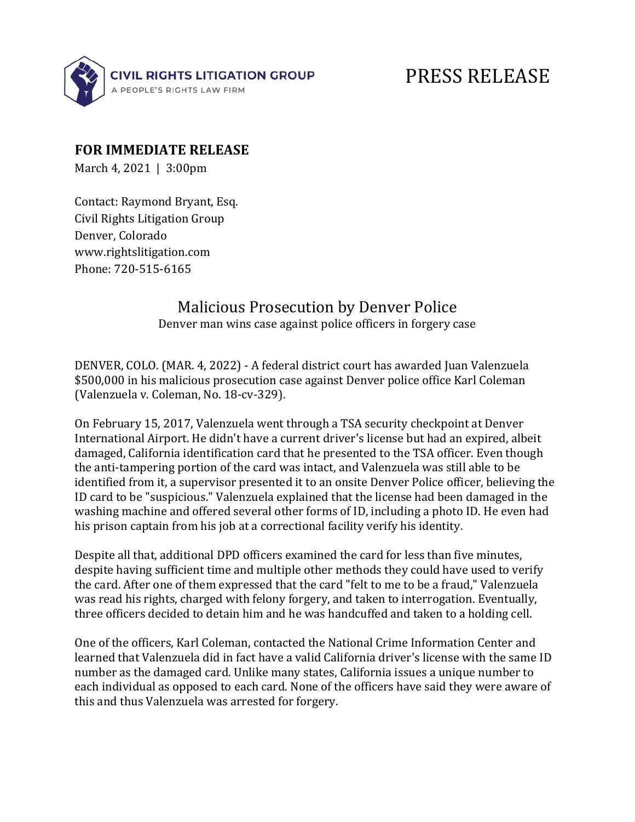

## PRESS RELEASE

## **FOR IMMEDIATE RELEASE**

March 4, 2021  $\mid$  3:00pm

Contact: Raymond Bryant, Esq. Civil Rights Litigation Group Denver, Colorado www.rightslitigation.com Phone: 720-515-6165

## Malicious Prosecution by Denver Police

Denver man wins case against police officers in forgery case

DENVER, COLO. (MAR. 4, 2022) - A federal district court has awarded Juan Valenzuela \$500,000 in his malicious prosecution case against Denver police office Karl Coleman (Valenzuela v. Coleman, No. 18-cv-329).

On February 15, 2017, Valenzuela went through a TSA security checkpoint at Denver International Airport. He didn't have a current driver's license but had an expired, albeit damaged, California identification card that he presented to the TSA officer. Even though the anti-tampering portion of the card was intact, and Valenzuela was still able to be identified from it, a supervisor presented it to an onsite Denver Police officer, believing the ID card to be "suspicious." Valenzuela explained that the license had been damaged in the washing machine and offered several other forms of ID, including a photo ID. He even had his prison captain from his job at a correctional facility verify his identity.

Despite all that, additional DPD officers examined the card for less than five minutes, despite having sufficient time and multiple other methods they could have used to verify the card. After one of them expressed that the card "felt to me to be a fraud," Valenzuela was read his rights, charged with felony forgery, and taken to interrogation. Eventually, three officers decided to detain him and he was handcuffed and taken to a holding cell.

One of the officers, Karl Coleman, contacted the National Crime Information Center and learned that Valenzuela did in fact have a valid California driver's license with the same ID number as the damaged card. Unlike many states, California issues a unique number to each individual as opposed to each card. None of the officers have said they were aware of this and thus Valenzuela was arrested for forgery.